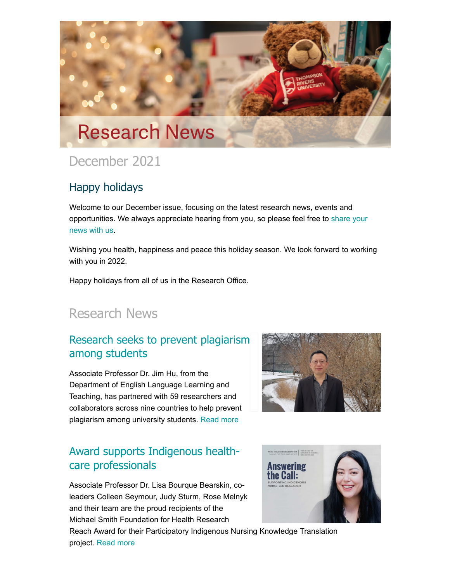

# December 2021

### Happy holidays

Welcome to our December issue, focusing on the latest research news, events and opportunities. [We always appreciate hearing from you,](mailto:research@tru.ca) so please feel free to share your news with us.

Wishing you health, happiness and peace this holiday season. We look forward to working with you in 2022.

Happy holidays from all of us in the Research Office.

# Research News

## [Research seeks to prevent plagiarism](http://inside.tru.ca/2021/12/08/research-seeks-to-prevent-plagiarism-among-students/) among students

Associate Professor Dr. Jim Hu, from the Department of English Language Learning and Teaching, has partnered with 59 researchers and collaborators across nine countries to help prevent plagiarism among university students. [Read more](http://inside.tru.ca/2021/12/08/research-seeks-to-prevent-plagiarism-among-students/)

### [Award supports Indigenous health](http://inside.tru.ca/2021/12/06/award-supports-indigenous-health-care-professionals/)care professionals

Associate Professor Dr. Lisa Bourque Bearskin, coleaders Colleen Seymour, Judy Sturm, Rose Melnyk and their team are the proud recipients of the Michael Smith Foundation for Health Research





Reach Award for their Participatory Indigenous Nursing Knowledge Translation project. [Read more](http://inside.tru.ca/2021/12/06/award-supports-indigenous-health-care-professionals/)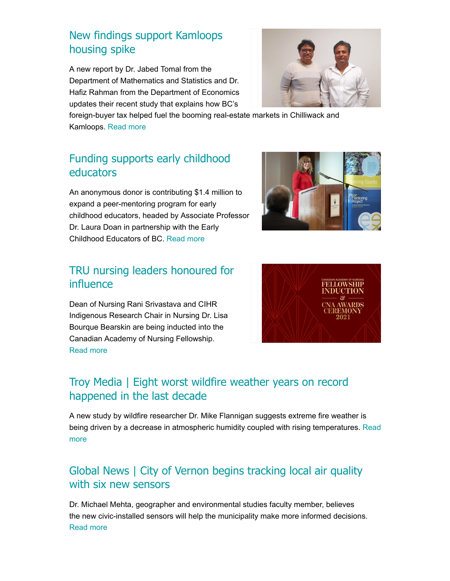## [New findings support Kamloops](http://inside.tru.ca/2021/11/29/new-findings-support-kamloops-housing-spike/) housing spike

A new report by Dr. Jabed Tomal from the Department of Mathematics and Statistics and Dr. Hafiz Rahman from the Department of Economics updates their recent study that explains how BC's



foreign-buyer tax helped fuel the booming real-estate markets in Chilliwack and Kamloops. [Read more](http://inside.tru.ca/2021/11/29/new-findings-support-kamloops-housing-spike/)

## [Funding supports early childhood](http://inside.tru.ca/2021/11/22/funding-supports-early-childhood-educators/) educators

An anonymous donor is contributing \$1.4 million to expand a peer-mentoring program for early childhood educators, headed by Associate Professor Dr. Laura Doan in partnership with the Early Childhood Educators of BC. [Read more](http://inside.tru.ca/2021/11/22/funding-supports-early-childhood-educators/)

### [TRU nursing leaders honoured for](http://inside.tru.ca/2021/10/12/tru-nursing-leaders-honoured-for-influence/) influence

Dean of Nursing Rani Srivastava and CIHR Indigenous Research Chair in Nursing Dr. Lisa Bourque Bearskin are being inducted into the Canadian Academy of Nursing Fellowship. [Read more](http://inside.tru.ca/2021/10/12/tru-nursing-leaders-honoured-for-influence/)





## [Troy Media | Eight worst wildfire weather years on record](http://inside.tru.ca/inthemedia/troy-media-eight-worst-wildfire-weather-years-on-record-happened-in-the-last-decade/) happened in the last decade

A new study by wildfire researcher Dr. Mike Flannigan suggests extreme fire weather is [being driven by a decrease in atmospheric humidity coupled with rising temperatures.](http://inside.tru.ca/inthemedia/troy-media-eight-worst-wildfire-weather-years-on-record-happened-in-the-last-decade/) Read more

## [Global News | City of Vernon begins tracking local air quality](http://inside.tru.ca/inthemedia/global-news-city-of-vernon-begins-tracking-local-air-quality-with-six-new-sensors/) with six new sensors

Dr. Michael Mehta, geographer and environmental studies faculty member, believes the new civic-installed sensors will help the municipality make more informed decisions. [Read more](http://inside.tru.ca/inthemedia/global-news-city-of-vernon-begins-tracking-local-air-quality-with-six-new-sensors/)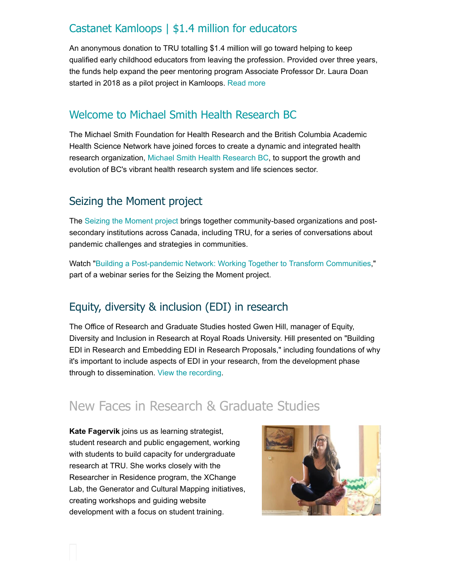### [Castanet Kamloops | \\$1.4 million for educators](http://inside.tru.ca/inthemedia/castanet-kamloops-1-4-million-for-educators/)

An anonymous donation to TRU totalling \$1.4 million will go toward helping to keep qualified early childhood educators from leaving the profession. Provided over three years, the funds help expand the peer mentoring program Associate Professor Dr. Laura Doan started in 2018 as a pilot project in Kamloops. [Read more](http://inside.tru.ca/inthemedia/castanet-kamloops-1-4-million-for-educators/)

#### [Welcome to Michael Smith Health Research BC](https://healthresearchbc.ca/)

The Michael Smith Foundation for Health Research and the British Columbia Academic Health Science Network have joined forces to create a dynamic and integrated health research organization, [Michael Smith Health Research BC,](https://healthresearchbc.ca/) to support the growth and evolution of BC's vibrant health research system and life sciences sector.

#### Seizing the Moment project

The [Seizing the Moment project](https://ccecanada.ca/seizing-the-moment/) brings together community-based organizations and postsecondary institutions across Canada, including TRU, for a series of conversations about pandemic challenges and strategies in communities.

Watch ["Building a Post-pandemic Network: Working Together to Transform Communities,](https://www.youtube.com/watch?v=soKF293ZwK8)" part of a webinar series for the Seizing the Moment project.

## Equity, diversity & inclusion (EDI) in research

The Office of Research and Graduate Studies hosted Gwen Hill, manager of Equity, Diversity and Inclusion in Research at Royal Roads University. Hill presented on "Building EDI in Research and Embedding EDI in Research Proposals," including foundations of why it's important to include aspects of EDI in your research, from the development phase through to dissemination. [View the recording](https://www.youtube.com/watch?v=9kRvb5HiFEk).

## New Faces in Research & Graduate Studies

**Kate Fagervik** joins us as learning strategist, student research and public engagement, working with students to build capacity for undergraduate research at TRU. She works closely with the Researcher in Residence program, the XChange Lab, the Generator and Cultural Mapping initiatives, creating workshops and guiding website development with a focus on student training.

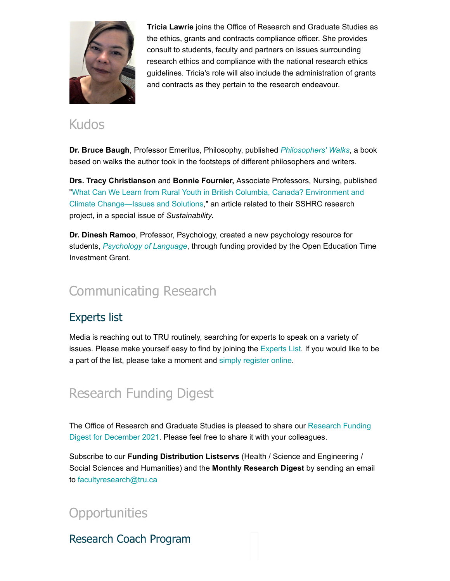

**Tricia Lawrie** joins the Office of Research and Graduate Studies as the ethics, grants and contracts compliance officer. She provides consult to students, faculty and partners on issues surrounding research ethics and compliance with the national research ethics guidelines. Tricia's role will also include the administration of grants and contracts as they pertain to the research endeavour.

## Kudos

**Dr. Bruce Baugh**, Professor Emeritus, Philosophy, published *[Philosophers' Walks](https://www.routledge.com/Philosophers-Walks/Baugh/p/book/9780367333133)*, a book based on walks the author took in the footsteps of different philosophers and writers.

**Drs. Tracy Christianson** and **Bonnie Fournier,** Associate Professors, Nursing, published ["What Can We Learn from Rural Youth in British Columbia, Canada? Environment and](https://www.mdpi.com/2071-1050/13/24/13562) Climate Change—Issues and Solutions," an article related to their SSHRC research project, in a special issue of *Sustainability*.

**Dr. Dinesh Ramoo**, Professor, Psychology, created a new psychology resource for students, *[Psychology of Language](https://opentextbc.ca/psyclanguage/)*, through funding provided by the Open Education Time Investment Grant.

# [Communicating Research](https://inside.tru.ca/tru.ca/experts)

## Experts list

Media is reaching out to TRU routinely, searching for experts to speak on a variety of issues. Please make yourself easy to find by joining the [Experts List](https://inside.tru.ca/find-an-expert/). If you would like to be a part of the list, please take a moment and [simply register online](https://inside.tru.ca/find-an-expert/experts-registration-update/).

# Research Funding Digest

[The Office of Research and Graduate Studies is pleased to share our Research Funding](https://bit.ly/3DFC37W) Digest for December 2021. Please feel free to share it with your colleagues.

Subscribe to our **Funding Distribution Listservs** (Health / Science and Engineering / Social Sciences and Humanities) and the **Monthly Research Digest** by sending an email to [facultyresearch@tru.ca](mailto:facultyresearch@tru.caHi)

**Opportunities** 

Research Coach Program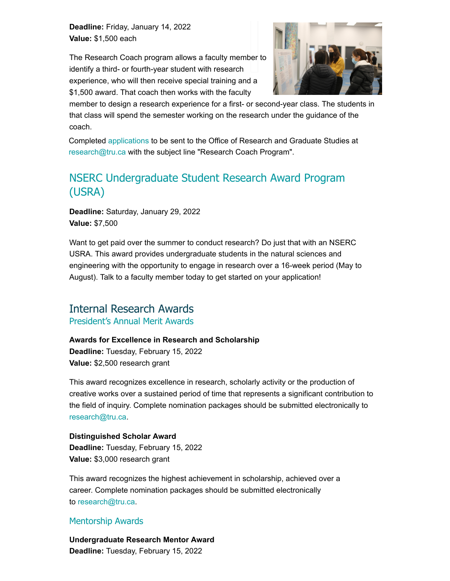**Deadline:** Friday, January 14, 2022 **Value:** \$1,500 each

The Research Coach program allows a faculty member to identify a third- or fourth-year student with research experience, who will then receive special training and a \$1,500 award. That coach then works with the faculty



member to design a research experience for a first- or second-year class. The students in that class will spend the semester working on the research under the guidance of the coach.

Completed [applications](https://bit.ly/3yakZpF) to be sent to the Office of Research and Graduate Studies at [research@tru.ca](mailto:research@tru.ca) with the subject line "Research Coach Program".

## [NSERC Undergraduate Student Research Award Program](https://www.tru.ca/research/undergraduate-research/undergraduate-research-opportunities.html) (USRA)

**Deadline:** Saturday, January 29, 2022 **Value:** \$7,500

Want to get paid over the summer to conduct research? Do just that with an NSERC USRA. This award provides undergraduate students in the natural sciences and engineering with the opportunity to engage in research over a 16-week period (May to August). Talk to a faculty member today to get started on your application!

#### Internal Research Awards [President's Annual Merit Awards](https://www.tru.ca/research/research-services/research-services-faculty/research-awards.html)

#### **Awards for Excellence in Research and Scholarship**

**Deadline:** Tuesday, February 15, 2022 **Value:** \$2,500 research grant

This award recognizes excellence in research, scholarly activity or the production of creative works over a sustained period of time that represents a significant contribution to the field of inquiry. Complete nomination packages should be submitted electronically to [research@tru.ca.](mailto:research@tru.ca)

#### **Distinguished Scholar Award**

**Deadline:** Tuesday, February 15, 2022 **Value:** \$3,000 research grant

This award recognizes the highest achievement in scholarship, achieved over a career. Complete nomination packages should be submitted electronically to [research@tru.ca.](mailto:research@tru.ca)

#### [Mentorship Awards](https://www.tru.ca/research/research-services/research-services-faculty/research-awards.html)

**Undergraduate Research Mentor Award Deadline:** Tuesday, February 15, 2022